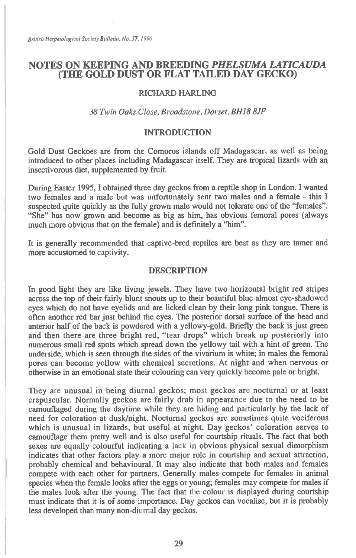# **NOTES ON KEEPING AND BREEDING** *PHELSUMA LATICAUDA*  **(THE GOLD DUST OR FLAT TAILED DAY GECKO)**

# RICHARD HARLING

## 38 *Twin Oaks Close, Broadstone, Dorset, BH18 8JF*

#### INTRODUCTION

Gold Dust Geckoes are from the Comoros islands off Madagascar, as well as being introduced to other places including Madagascar itself. They are tropical lizards with an insectivorous diet, supplemented by fruit.

During Easter 1995, I obtained three day geckos from a reptile shop in London. I wanted two females and a male but was unfortunately sent two males and a female - this I suspected quite quickly as the fully grown male would not tolerate one of the "females". "She" has now grown and become as big as him, has obvious femoral pores (always much more obvious that on the female) and is definitely a "him".

It is generally recommended that captive-bred reptiles are best as they are tamer and more accustomed to captivity.

#### DESCRIPTION

In good light they are like living jewels. They have two horizontal bright red stripes across the top of their fairly blunt snouts up to their beautiful blue almost eye-shadowed eyes which do not have eyelids and are licked clean by their long pink tongue. There is often another red bar just behind the eyes. The posterior dorsal surface of the head and anterior half of the back is powdered with a yellowy-gold. Briefly the back is just green and then there are three bright red, "tear drops" which break up posteriorly into numerous small red spots which spread down the yellowy tail with a hint of green. The underside, which is seen through the sides of the vivarium is white; in males the femoral pores can become yellow with chemical secretions. At night and when nervous or otherwise in an emotional state their colouring can very quickly become pale or bright.

They are unusual in being diurnal geckos; most geckos are nocturnal or at least crepuscular. Normally geckos are fairly drab in appearance due to the need to be camouflaged during the daytime while they are hiding and particularly by the lack of need for coloration at dusk/night. Nocturnal geckos are sometimes quite vociferous which is unusual in lizards, but useful at night. Day geckos' coloration serves to camouflage them pretty well and is also useful for courtship rituals. The fact that both sexes are equally colourful indicating a lack in obvious physical sexual dimorphism indicates that other factors play a more major role in courtship and sexual attraction, probably chemical and behavioural. It may also indicate that both males and females compete with each other for partners. Generally males compete for females in animal species when the female looks after the eggs or young; females may compete for males if the males look after the young. The fact that the colour is displayed during courtship must indicate that it is of some importance. Day geckos can vocalise, but it is probably less developed than many non-diurnal day geckos.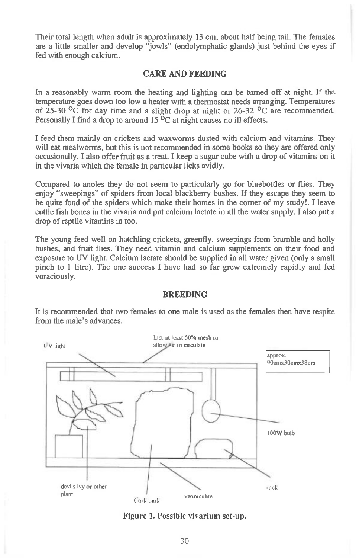Their total length when adult is approximately 13 cm, about half being tail. The females are a little smaller and develop "jowls" (endolymphatic glands) just behind the eyes if fed with enough calcium.

## **CARE AND FEEDING**

In a reasonably warm room the heating and lighting can be turned off at night. If the temperature goes down too low a heater with a thermostat needs arranging. Temperatures of 25-30  $^{\circ}$ C for day time and a slight drop at night or 26-32  $^{\circ}$ C are recommended. Personally I find a drop to around 15  $\rm{^0C}$  at night causes no ill effects.

I feed them mainly on crickets and waxworms dusted with calcium and vitamins. They will eat mealworms, but this is not recommended in some books so they are offered only occasionally. I also offer fruit as a treat. I keep a sugar cube with a drop of vitamins on it in the vivaria which the female in particular licks avidly.

Compared to anoles they do not seem to particularly go for bluebottles or flies. They enjoy "sweepings" of spiders from local blackberry bushes. If they escape they seem to be quite fond of the spiders which make their homes in the corner of my study!. I leave cuttle fish bones in the vivaria and put calcium lactate in all the water supply. I also put a drop of reptile vitamins in too.

The young feed well on hatchling crickets, greenfly, sweepings from bramble and holly bushes, and fruit flies. They need vitamin and calcium supplements on their food and exposure to UV light. Calcium lactate should be supplied in all water given (only a small pinch to 1 litre). The one success I have had so far grew extremely rapidly and fed voraciously.

#### **BREEDING**

It is recommended that two females to one male is used as the females then have respite from the male's advances.



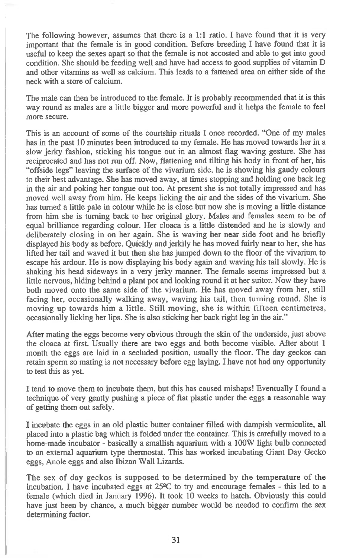The following however, assumes that there is a 1:1 ratio. I have found that it is very important that the female is in good condition. Before breeding I have found that it is useful to keep the sexes apart so that the female is not accosted and able to get into good condition. She should be feeding well and have had access to good supplies of vitamin D and other vitamins as well as calcium. This leads to a fattened area on either side of the neck with a store of calcium.

The male can then be introduced to the female. It is probably recommended that it is this way round as males are a little bigger and more powerful and it helps the female to feel more secure.

This is an account of some of the courtship rituals I once recorded. "One of my males has in the past 10 minutes been introduced to my female. He has moved towards her in a slow jerky fashion, sticking his tongue out in an almost flag waving gesture. She has reciprocated and has not run off. Now, flattening and tilting his body in front of her, his "offside legs" leaving the surface of the vivarium side, he is showing his gaudy colours to their best advantage. She has moved away, at times stopping and holding one back leg in the air and poking her tongue out too. At present she is not totally impressed and has moved well away from him. He keeps licking the air and the sides of the vivarium. She has turned a little pale in colour while he is close but now she is moving a little distance from him she is turning back to her original glory. Males and females seem to be of equal brilliance regarding colour. Her cloaca is a little distended and he is slowly and deliberately closing in on her again. She is waving her near side foot and he briefly displayed his body as before. Quickly and jerkily he has moved fairly near to her, she has lifted her tail and waved it but then she has jumped down to the floor of the vivarium to escape his ardour. He is now displaying his body again and waving his tail slowly. He is shaking his head sideways in a very jerky manner. The female seems impressed but a little nervous, hiding behind a plant pot and looking round it at her suitor. Now they have both moved onto the same side of the vivarium. He has moved away from her, still facing her, occasionally walking away, waving his tail, then turning round. She is moving up towards him a little. Still moving, she is within fifteen centimetres, occasionally licking her lips. She is also sticking her back right leg in the air."

After mating the eggs become very obvious through the skin of the underside, just above the cloaca at first. Usually there are two eggs and both become visible. After about 1 month the eggs are laid in a secluded position, usually the floor. The day geckos can retain sperm so mating is not necessary before egg laying. I have not had any opportunity to test this as yet.

I tend to move them to incubate them, but this has caused mishaps! Eventually I found a technique of very gently pushing a piece of flat plastic under the eggs a reasonable way of getting them out safely.

I incubate the eggs in an old plastic butter container filled with dampish vermiculite, all placed into a plastic bag which is folded under the container. This is carefully moved to a home-made incubator - basically a smallish aquarium with a 100W light bulb connected to an external aquarium type thermostat. This has worked incubating Giant Day Gecko eggs, Anole eggs and also Ibizan Wall Lizards.

The sex of day geckos is supposed to be determined by the temperature of the incubation. I have incubated eggs at  $25^{\circ}$ C to try and encourage females - this led to a female (which died in January 1996). It took 10 weeks to hatch. Obviously this could have just been by chance, a much bigger number would be needed to confirm the sex determining factor.